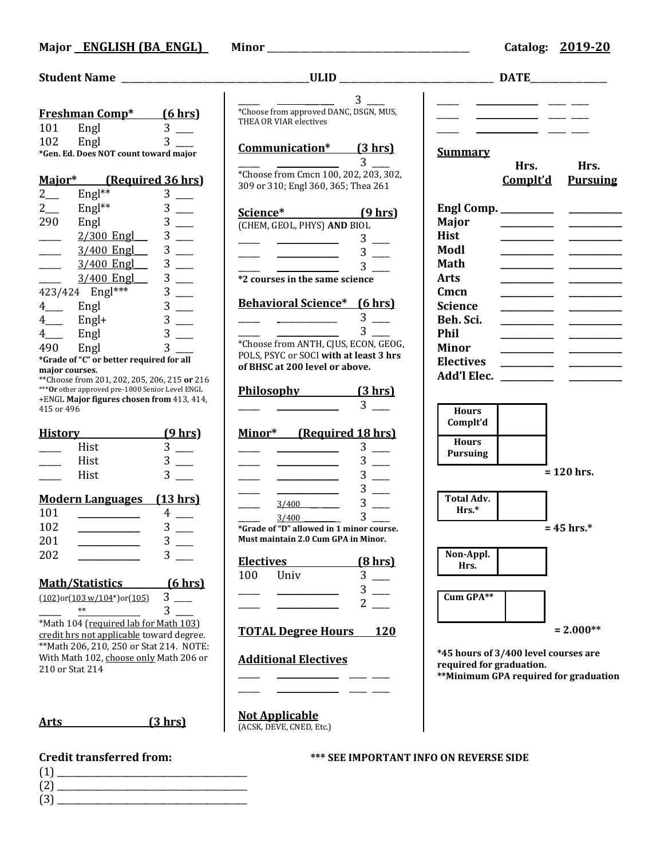|                       | <b>Freshman Comp*</b>                            | <u>(6 hrs)</u> |
|-----------------------|--------------------------------------------------|----------------|
| 101                   | Engl                                             | 3              |
| 102                   | Engl                                             | 3              |
|                       | *Gen. Ed. Does NOT count toward major            |                |
|                       |                                                  |                |
| Major*                | (Required 36 hrs)                                |                |
| $2$ <sub>——</sub>     | Engl**                                           | 3              |
| $2\frac{2}{\sqrt{2}}$ | Engl**                                           | 3              |
| 290                   | Engl                                             | 3              |
|                       | 2/300 Engl___                                    | 3              |
|                       | 3/400 Engl                                       | 3              |
|                       | 3/400 Engl                                       | 3              |
|                       | 3/400 Engl                                       | 3              |
|                       | 423/424 Engl***                                  | 3              |
|                       |                                                  |                |
| $4$ <sub>——</sub>     | Engl                                             | 3              |
| $4$ <sub>——</sub>     | $Engl+$                                          | 3              |
| $4$ <sub>----</sub>   | Engl                                             | 3              |
| 490 -                 | Engl                                             | 3              |
| major courses.        | *Grade of "C" or better required for all         |                |
|                       | ** Choose from 201, 202, 205, 206, 215 or 216    |                |
|                       | *** Or other approved pre-1800 Senior Level ENGL |                |
| 415 or 496            | +ENGL Major figures chosen from 413, 414,        |                |
|                       |                                                  |                |
| <u>History</u>        |                                                  | <u>(9 hrs)</u> |
|                       | Hist                                             | 3              |
|                       | Hist                                             | 3              |
|                       | Hist                                             |                |
|                       |                                                  |                |
|                       | <b>Modern Languages</b> (13 hrs)                 |                |
| 101                   |                                                  | 4              |
| 102                   |                                                  | 3              |
| 201                   |                                                  | 3              |
| 202                   |                                                  |                |
|                       |                                                  |                |
|                       | Math/Statistics                                  | $(6 \, hrs)$   |
|                       | $(102)$ or $(103 w/104*)$ or $(105)$             | 3              |
|                       | $**$                                             | 3              |
|                       | *Math 104 (required lab for Math 103)            |                |
|                       | credit hrs not applicable toward degree.         |                |
|                       | ** Math 206, 210, 250 or Stat 214. NOTE:         |                |
|                       | With Math 102, choose only Math 206 or           |                |
| 210 or Stat 214       |                                                  |                |
|                       |                                                  |                |

**Arts (3 hrs)**

- (1) \_\_\_\_\_\_\_\_\_\_\_\_\_\_\_\_\_\_\_\_\_\_\_\_\_\_\_\_\_\_\_\_\_\_\_\_\_\_\_\_\_\_\_
- (2) \_\_\_\_\_\_\_\_\_\_\_\_\_\_\_\_\_\_\_\_\_\_\_\_\_\_\_\_\_\_\_\_\_\_\_\_\_\_\_\_\_\_\_
- (3) \_\_\_\_\_\_\_\_\_\_\_\_\_\_\_\_\_\_\_\_\_\_\_\_\_\_\_\_\_\_\_\_\_\_\_\_\_\_\_\_\_\_\_

|                  | <b>VHLD</b>                              |                         |       |
|------------------|------------------------------------------|-------------------------|-------|
|                  |                                          |                         |       |
|                  |                                          | 3.                      |       |
|                  | *Choose from approved DANC, DSGN, MUS,   |                         |       |
|                  | THEA OR VIAR electives                   |                         |       |
|                  |                                          |                         |       |
|                  | Communication* (3 hrs)                   |                         |       |
|                  |                                          |                         | Su    |
|                  |                                          | 3                       |       |
|                  | *Choose from Cmcn 100, 202, 203, 302,    |                         |       |
|                  | 309 or 310; Engl 360, 365; Thea 261      |                         |       |
|                  |                                          |                         |       |
| Science*         |                                          | (9 hrs)                 | Er    |
|                  | (CHEM, GEOL, PHYS) AND BIOL              |                         | M:    |
|                  |                                          |                         | Hi    |
|                  |                                          | 3                       |       |
|                  |                                          | 3 <sup>1</sup>          | M     |
|                  |                                          | 3                       | $M_i$ |
|                  | *2 courses in the same science           |                         | Aı    |
|                  |                                          |                         | Cr    |
|                  | <b>Behavioral Science*</b> (6 hrs)       |                         |       |
|                  |                                          |                         | Sc    |
|                  |                                          | 3 <sup>1</sup>          | Be    |
|                  |                                          | 3 <sup>1</sup>          | Pł    |
|                  | *Choose from ANTH, CJUS, ECON, GEOG,     |                         | Mi    |
|                  | POLS, PSYC or SOCI with at least 3 hrs   |                         | El    |
|                  | of BHSC at 200 level or above.           |                         |       |
|                  |                                          |                         | Aο    |
|                  | Philosophy (3 hrs)                       |                         |       |
|                  |                                          | 3                       |       |
|                  |                                          |                         |       |
|                  |                                          |                         |       |
|                  | Minor* (Required 18 hrs)                 |                         |       |
|                  |                                          | 3                       |       |
|                  |                                          | 3                       |       |
|                  |                                          | 3                       |       |
|                  |                                          |                         |       |
|                  |                                          | 3                       |       |
|                  | 3/400                                    | 3                       |       |
|                  | 3/400                                    | $\overline{\mathbf{3}}$ |       |
|                  | *Grade of "D" allowed in 1 minor course. |                         |       |
|                  | Must maintain 2.0 Cum GPA in Minor.      |                         |       |
|                  |                                          |                         | ľ     |
| <b>Electives</b> |                                          | $(8 \text{ hrs})$       |       |
| 100              | Univ                                     | 3                       |       |
|                  |                                          | 3                       |       |
|                  |                                          |                         | C     |
|                  |                                          | $\overline{2}$          |       |
|                  |                                          |                         |       |
|                  | <b>TOTAL Degree Hours</b> 120            |                         |       |
|                  |                                          |                         |       |
|                  | <b>Additional Electives</b>              |                         | *4.   |
|                  |                                          |                         | re    |
|                  |                                          |                         | **]   |
|                  |                                          |                         |       |
|                  |                                          |                         |       |
|                  | <b>Not Applicable</b>                    |                         |       |
|                  | (ACSK, DEVE, CNED, Etc.)                 |                         |       |
|                  |                                          |                         |       |

**Student Name** \_\_\_\_\_\_\_\_\_\_\_\_\_\_\_\_\_\_\_\_\_\_\_\_\_\_\_\_\_\_\_\_\_\_\_\_\_\_\_**ULID** \_\_\_\_\_\_\_\_\_\_\_\_\_\_\_\_\_\_\_\_\_\_\_\_\_\_\_\_\_\_\_\_ **DATE**\_\_\_\_\_\_\_\_\_\_\_\_\_\_\_\_

\_\_\_\_\_ \_\_\_\_\_\_\_\_\_\_\_\_\_\_ \_\_\_\_ \_\_\_\_  $\frac{\text{---}}{\text{---}}$   $\frac{\text{---}}{\text{---}}$ \_\_\_\_\_ \_\_\_\_\_\_\_\_\_\_\_\_\_\_ \_\_\_\_ \_\_\_\_

## <u>Immary</u>

|                      | Hrs.                                            | Hrs.<br><b>Complt'd</b> Pursuing |
|----------------------|-------------------------------------------------|----------------------------------|
| Engl Comp. _________ |                                                 |                                  |
| Major                | <u> 1989 - Johann Barnett, fransk politiker</u> |                                  |
| Hist                 | _______________                                 |                                  |
| Modl                 |                                                 |                                  |
| Math                 |                                                 |                                  |
| Arts                 |                                                 |                                  |
| Cmcn                 |                                                 |                                  |
| Science              |                                                 |                                  |
| Beh. Sci.            |                                                 |                                  |
| Phil                 |                                                 |                                  |
| Minor                | the control of the control of the               |                                  |
| <b>Electives</b>     | <b>Contract Contract</b>                        |                                  |
| Add'l Elec.          |                                                 |                                  |
|                      |                                                 |                                  |

| <b>Hours</b><br>Complt'd        |              |
|---------------------------------|--------------|
| <b>Hours</b><br><b>Pursuing</b> |              |
|                                 | $= 120$ hrs. |



**= 2.000\*\***

**\*45 hours of 3/400 level courses are required for graduation.**

**\*\*Minimum GPA required for graduation**

### **Credit transferred from: \*\*\* SEE IMPORTANT INFO ON REVERSE SIDE**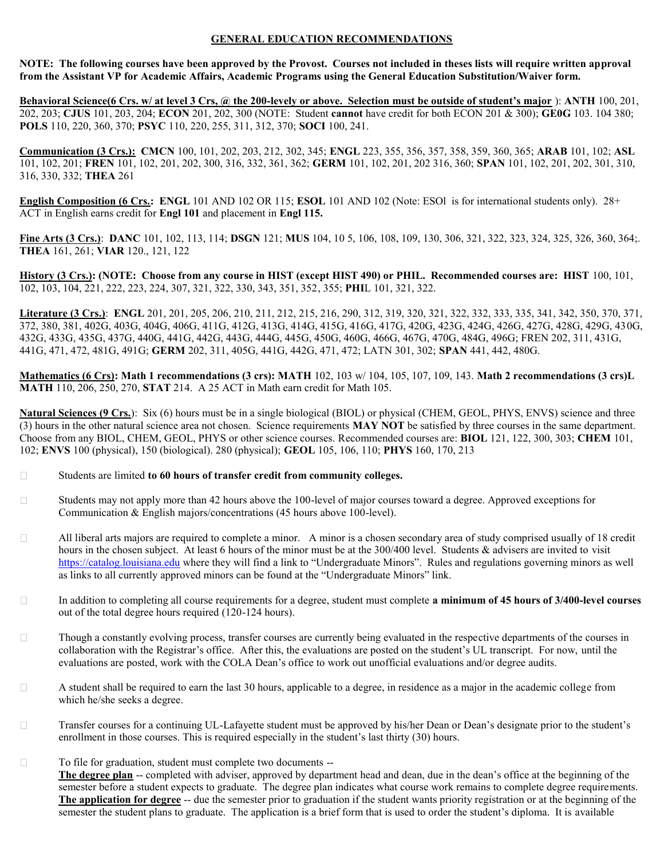### **GENERAL EDUCATION RECOMMENDATIONS**

**NOTE: The following courses have been approved by the Provost. Courses not included in theses lists will require written approval from the Assistant VP for Academic Affairs, Academic Programs using the General Education Substitution/Waiver form.**

**Behavioral Science(6 Crs. w/ at level 3 Crs, @ the 200-levely or above. Selection must be outside of student's major** ): **ANTH** 100, 201, 202, 203; **CJUS** 101, 203, 204; **ECON** 201, 202, 300 (NOTE: Student **cannot** have credit for both ECON 201 & 300); **GE0G** 103. 104 380; **POLS** 110, 220, 360, 370; **PSYC** 110, 220, 255, 311, 312, 370; **SOCI** 100, 241.

**Communication (3 Crs.): CMCN** 100, 101, 202, 203, 212, 302, 345; **ENGL** 223, 355, 356, 357, 358, 359, 360, 365; **ARAB** 101, 102; **ASL**  101, 102, 201; **FREN** 101, 102, 201, 202, 300, 316, 332, 361, 362; **GERM** 101, 102, 201, 202 316, 360; **SPAN** 101, 102, 201, 202, 301, 310, 316, 330, 332; **THEA** 261

**English Composition (6 Crs.: ENGL** 101 AND 102 OR 115; **ESOL** 101 AND 102 (Note: ESOl is for international students only). 28+ ACT in English earns credit for **Engl 101** and placement in **Engl 115.**

**Fine Arts (3 Crs.)**: **DANC** 101, 102, 113, 114; **DSGN** 121; **MUS** 104, 10 5, 106, 108, 109, 130, 306, 321, 322, 323, 324, 325, 326, 360, 364;. **THEA** 161, 261; **VIAR** 120., 121, 122

**History (3 Crs.): (NOTE: Choose from any course in HIST (except HIST 490) or PHIL. Recommended courses are: HIST** 100, 101, 102, 103, 104, 221, 222, 223, 224, 307, 321, 322, 330, 343, 351, 352, 355; **PHI**L 101, 321, 322.

**Literature (3 Crs.)**: **ENGL** 201, 201, 205, 206, 210, 211, 212, 215, 216, 290, 312, 319, 320, 321, 322, 332, 333, 335, 341, 342, 350, 370, 371, 372, 380, 381, 402G, 403G, 404G, 406G, 411G, 412G, 413G, 414G, 415G, 416G, 417G, 420G, 423G, 424G, 426G, 427G, 428G, 429G, 430G, 432G, 433G, 435G, 437G, 440G, 441G, 442G, 443G, 444G, 445G, 450G, 460G, 466G, 467G, 470G, 484G, 496G; FREN 202, 311, 431G, 441G, 471, 472, 481G, 491G; **GERM** 202, 311, 405G, 441G, 442G, 471, 472; LATN 301, 302; **SPAN** 441, 442, 480G.

**Mathematics (6 Crs): Math 1 recommendations (3 crs): MATH** 102, 103 w/ 104, 105, 107, 109, 143. **Math 2 recommendations (3 crs)L MATH** 110, 206, 250, 270, **STAT** 214. A 25 ACT in Math earn credit for Math 105.

**Natural Sciences (9 Crs.**): Six (6) hours must be in a single biological (BIOL) or physical (CHEM, GEOL, PHYS, ENVS) science and three (3) hours in the other natural science area not chosen. Science requirements **MAY NOT** be satisfied by three courses in the same department. Choose from any BIOL, CHEM, GEOL, PHYS or other science courses. Recommended courses are: **BIOL** 121, 122, 300, 303; **CHEM** 101, 102; **ENVS** 100 (physical), 150 (biological). 280 (physical); **GEOL** 105, 106, 110; **PHYS** 160, 170, 213

- $\Box$ Students are limited **to 60 hours of transfer credit from community colleges.**
- Students may not apply more than 42 hours above the 100-level of major courses toward a degree. Approved exceptions for  $\Box$ Communication & English majors/concentrations (45 hours above 100-level).
- $\Box$ All liberal arts majors are required to complete a minor. A minor is a chosen secondary area of study comprised usually of 18 credit hours in the chosen subject. At least 6 hours of the minor must be at the 300/400 level. Students & advisers are invited to visit [https://catalog.louisiana.edu](https://catalog.louisiana.edu/) where they will find a link to "Undergraduate Minors". Rules and regulations governing minors as well as links to all currently approved minors can be found at the "Undergraduate Minors" link.
- $\Box$ In addition to completing all course requirements for a degree, student must complete **a minimum of 45 hours of 3/400-level courses** out of the total degree hours required (120-124 hours).
- Though a constantly evolving process, transfer courses are currently being evaluated in the respective departments of the courses in  $\Box$ collaboration with the Registrar's office. After this, the evaluations are posted on the student's UL transcript. For now, until the evaluations are posted, work with the COLA Dean's office to work out unofficial evaluations and/or degree audits.
- A student shall be required to earn the last 30 hours, applicable to a degree, in residence as a major in the academic college from  $\Box$ which he/she seeks a degree.
- Transfer courses for a continuing UL-Lafayette student must be approved by his/her Dean or Dean's designate prior to the student's  $\Box$ enrollment in those courses. This is required especially in the student's last thirty (30) hours.
- $\Box$ To file for graduation, student must complete two documents --

**The degree plan** -- completed with adviser, approved by department head and dean, due in the dean's office at the beginning of the semester before a student expects to graduate. The degree plan indicates what course work remains to complete degree requirements. **The application for degree** -- due the semester prior to graduation if the student wants priority registration or at the beginning of the semester the student plans to graduate. The application is a brief form that is used to order the student's diploma. It is available